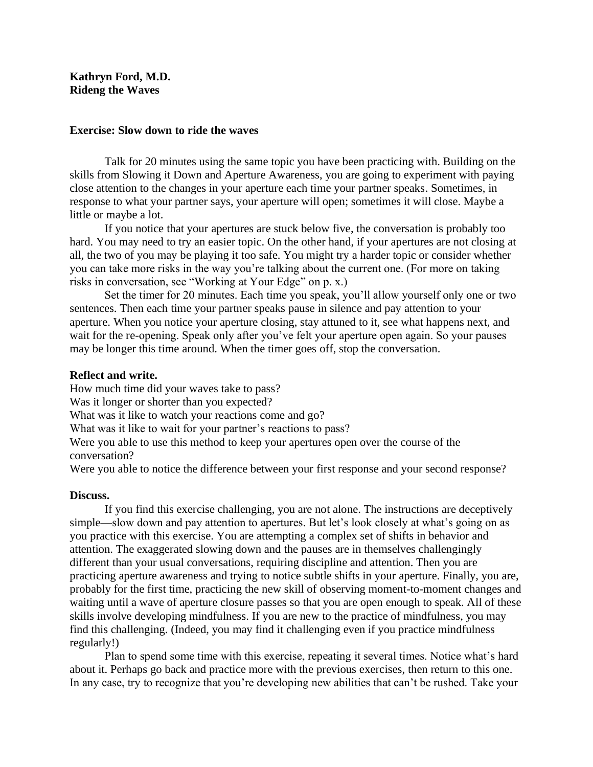## **Kathryn Ford, M.D. Rideng the Waves**

## **Exercise: Slow down to ride the waves**

Talk for 20 minutes using the same topic you have been practicing with. Building on the skills from Slowing it Down and Aperture Awareness, you are going to experiment with paying close attention to the changes in your aperture each time your partner speaks. Sometimes, in response to what your partner says, your aperture will open; sometimes it will close. Maybe a little or maybe a lot.

If you notice that your apertures are stuck below five, the conversation is probably too hard. You may need to try an easier topic. On the other hand, if your apertures are not closing at all, the two of you may be playing it too safe. You might try a harder topic or consider whether you can take more risks in the way you're talking about the current one. (For more on taking risks in conversation, see "Working at Your Edge" on p. x.)

Set the timer for 20 minutes. Each time you speak, you'll allow yourself only one or two sentences. Then each time your partner speaks pause in silence and pay attention to your aperture. When you notice your aperture closing, stay attuned to it, see what happens next, and wait for the re-opening. Speak only after you've felt your aperture open again. So your pauses may be longer this time around. When the timer goes off, stop the conversation.

## **Reflect and write.**

How much time did your waves take to pass?

Was it longer or shorter than you expected?

What was it like to watch your reactions come and go?

What was it like to wait for your partner's reactions to pass?

Were you able to use this method to keep your apertures open over the course of the conversation?

Were you able to notice the difference between your first response and your second response?

## **Discuss.**

If you find this exercise challenging, you are not alone. The instructions are deceptively simple—slow down and pay attention to apertures. But let's look closely at what's going on as you practice with this exercise. You are attempting a complex set of shifts in behavior and attention. The exaggerated slowing down and the pauses are in themselves challengingly different than your usual conversations, requiring discipline and attention. Then you are practicing aperture awareness and trying to notice subtle shifts in your aperture. Finally, you are, probably for the first time, practicing the new skill of observing moment-to-moment changes and waiting until a wave of aperture closure passes so that you are open enough to speak. All of these skills involve developing mindfulness. If you are new to the practice of mindfulness, you may find this challenging. (Indeed, you may find it challenging even if you practice mindfulness regularly!)

Plan to spend some time with this exercise, repeating it several times. Notice what's hard about it. Perhaps go back and practice more with the previous exercises, then return to this one. In any case, try to recognize that you're developing new abilities that can't be rushed. Take your